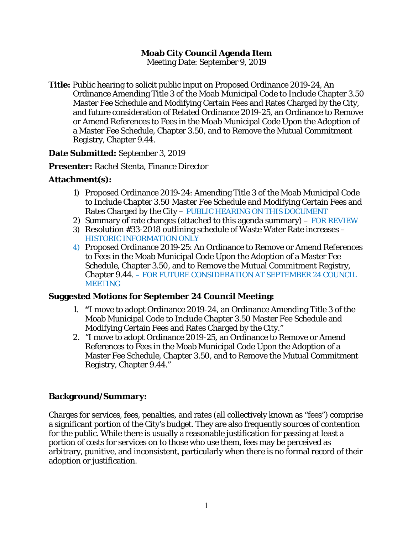# **Moab City Council Agenda Item**

Meeting Date: September 9, 2019

**Title:** Public hearing to solicit public input on Proposed Ordinance 2019-24, An Ordinance Amending Title 3 of the Moab Municipal Code to Include Chapter 3.50 Master Fee Schedule and Modifying Certain Fees and Rates Charged by the City, and future consideration of Related Ordinance 2019-25, an Ordinance to Remove or Amend References to Fees in the Moab Municipal Code Upon the Adoption of a Master Fee Schedule, Chapter 3.50, and to Remove the Mutual Commitment Registry, Chapter 9.44.

#### **Date Submitted:** September 3, 2019

#### **Presenter:** Rachel Stenta, Finance Director

## **Attachment(s):**

- 1) Proposed Ordinance 2019-24: Amending Title 3 of the Moab Municipal Code to Include Chapter 3.50 Master Fee Schedule and Modifying Certain Fees and Rates Charged by the City – *PUBLIC HEARING ON THIS DOCUMENT*
- 2) Summary of rate changes (attached to this agenda summary) *FOR REVIEW*
- 3) Resolution #33-2018 outlining schedule of Waste Water Rate increases *HISTORIC INFORMATION ONLY*
- *4)* Proposed Ordinance 2019-25: An Ordinance to Remove or Amend References to Fees in the Moab Municipal Code Upon the Adoption of a Master Fee Schedule, Chapter 3.50, and to Remove the Mutual Commitment Registry, Chapter 9.44. *– FOR FUTURE CONSIDERATION AT SEPTEMBER 24 COUNCIL MEETING*

## **Suggested Motions for September 24 Council Meeting:**

- 1. **"**I move to adopt Ordinance 2019-24, an Ordinance Amending Title 3 of the Moab Municipal Code to Include Chapter 3.50 Master Fee Schedule and Modifying Certain Fees and Rates Charged by the City."
- 2. "I move to adopt Ordinance 2019-25, an Ordinance to Remove or Amend References to Fees in the Moab Municipal Code Upon the Adoption of a Master Fee Schedule, Chapter 3.50, and to Remove the Mutual Commitment Registry, Chapter 9.44."

## **Background/Summary:**

Charges for services, fees, penalties, and rates (all collectively known as "fees") comprise a significant portion of the City's budget. They are also frequently sources of contention for the public. While there is usually a reasonable justification for passing at least a portion of costs for services on to those who use them, fees may be perceived as arbitrary, punitive, and inconsistent, particularly when there is no formal record of their adoption or justification.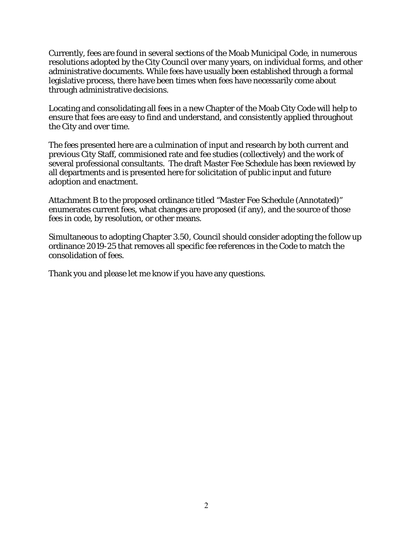Currently, fees are found in several sections of the Moab Municipal Code, in numerous resolutions adopted by the City Council over many years, on individual forms, and other administrative documents. While fees have usually been established through a formal legislative process, there have been times when fees have necessarily come about through administrative decisions.

Locating and consolidating all fees in a new Chapter of the Moab City Code will help to ensure that fees are easy to find and understand, and consistently applied throughout the City and over time.

The fees presented here are a culmination of input and research by both current and previous City Staff, commisioned rate and fee studies (collectively) and the work of several professional consultants. The draft Master Fee Schedule has been reviewed by all departments and is presented here for solicitation of public input and future adoption and enactment.

Attachment B to the proposed ordinance titled "Master Fee Schedule (Annotated)" enumerates current fees, what changes are proposed (if any), and the source of those fees in code, by resolution, or other means.

Simultaneous to adopting Chapter 3.50, Council should consider adopting the follow up ordinance 2019-25 that removes all specific fee references in the Code to match the consolidation of fees.

Thank you and please let me know if you have any questions.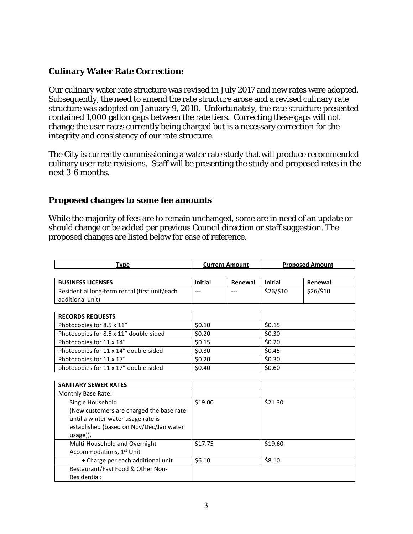# **Culinary Water Rate Correction:**

Our culinary water rate structure was revised in July 2017 and new rates were adopted. Subsequently, the need to amend the rate structure arose and a revised culinary rate structure was adopted on January 9, 2018. Unfortunately, the rate structure presented contained 1,000 gallon gaps between the rate tiers. Correcting these gaps will not change the user rates currently being charged but is a necessary correction for the integrity and consistency of our rate structure.

The City is currently commissioning a water rate study that will produce recommended culinary user rate revisions. Staff will be presenting the study and proposed rates in the next 3-6 months.

#### **Proposed changes to some fee amounts**

While the majority of fees are to remain unchanged, some are in need of an update or should change or be added per previous Council direction or staff suggestion. The proposed changes are listed below for ease of reference.

| Type                                          |                | <b>Current Amount</b> |                | <b>Proposed Amount</b> |
|-----------------------------------------------|----------------|-----------------------|----------------|------------------------|
|                                               |                |                       |                |                        |
| <b>BUSINESS LICENSES</b>                      | <b>Initial</b> | Renewal               | <b>Initial</b> | Renewal                |
| Residential long-term rental (first unit/each |                | ---                   | \$26/\$10      | \$26/\$10              |
| additional unit)                              |                |                       |                |                        |
|                                               |                |                       |                |                        |
| <b>RECORDS REQUESTS</b>                       |                |                       |                |                        |
| Photocopies for 8.5 x 11"                     | \$0.10         |                       | \$0.15         |                        |
| Photocopies for 8.5 x 11" double-sided        | \$0.20         |                       | \$0.30         |                        |
| Photocopies for 11 x 14"                      | \$0.15         |                       | \$0.20         |                        |
| Photocopies for 11 x 14" double-sided         | \$0.30         |                       | \$0.45         |                        |
| Photocopies for 11 x 17"                      | \$0.20         |                       | \$0.30         |                        |
| photocopies for 11 x 17" double-sided         | \$0.40         |                       | \$0.60         |                        |
|                                               |                |                       |                |                        |
| <b>SANITARY SEWER RATES</b>                   |                |                       |                |                        |
| Monthly Base Rate:                            |                |                       |                |                        |
| Single Household                              | \$19.00        |                       | \$21.30        |                        |
| (New customers are charged the base rate      |                |                       |                |                        |
| until a winter water usage rate is            |                |                       |                |                        |
| established (based on Nov/Dec/Jan water       |                |                       |                |                        |
| usage)).                                      |                |                       |                |                        |
| Multi-Household and Overnight                 | \$17.75        |                       | \$19.60        |                        |
| Accommodations, 1 <sup>st</sup> Unit          |                |                       |                |                        |
| + Charge per each additional unit             | \$6.10         |                       | \$8.10         |                        |
| Restaurant/Fast Food & Other Non-             |                |                       |                |                        |
| Residential:                                  |                |                       |                |                        |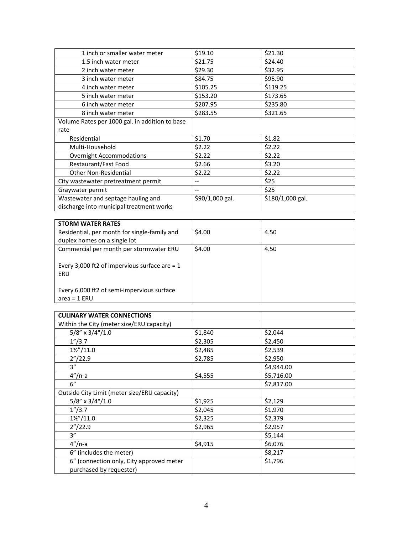| 1 inch or smaller water meter                  | \$19.10         | \$21.30          |
|------------------------------------------------|-----------------|------------------|
| 1.5 inch water meter                           | \$21.75         | \$24.40          |
| 2 inch water meter                             | \$29.30         | \$32.95          |
| 3 inch water meter                             | \$84.75         | \$95.90          |
| 4 inch water meter                             | \$105.25        | \$119.25         |
| 5 inch water meter                             | \$153.20        | \$173.65         |
| 6 inch water meter                             | \$207.95        | \$235.80         |
| 8 inch water meter                             | \$283.55        | \$321.65         |
| Volume Rates per 1000 gal. in addition to base |                 |                  |
| rate                                           |                 |                  |
| Residential                                    | \$1.70          | \$1.82           |
| Multi-Household                                | \$2.22          | \$2.22           |
| <b>Overnight Accommodations</b>                | \$2.22          | \$2.22           |
| Restaurant/Fast Food                           | \$2.66          | \$3.20           |
| <b>Other Non-Residential</b>                   | \$2.22          | \$2.22           |
| City wastewater pretreatment permit            |                 | \$25             |
| Graywater permit                               | --              | \$25             |
| Wastewater and septage hauling and             | \$90/1,000 gal. | \$180/1,000 gal. |
| discharge into municipal treatment works       |                 |                  |

| <b>STORM WATER RATES</b>                                     |        |      |
|--------------------------------------------------------------|--------|------|
| Residential, per month for single-family and                 | \$4.00 | 4.50 |
| duplex homes on a single lot                                 |        |      |
| Commercial per month per stormwater ERU                      | \$4.00 | 4.50 |
| Every 3,000 ft2 of impervious surface are = $1$<br>ERU       |        |      |
| Every 6,000 ft2 of semi-impervious surface<br>$area = 1$ ERU |        |      |

| <b>CULINARY WATER CONNECTIONS</b>            |         |            |
|----------------------------------------------|---------|------------|
| Within the City (meter size/ERU capacity)    |         |            |
| $5/8''$ x $3/4''/1.0$                        | \$1,840 | \$2,044    |
| 1''/3.7                                      | \$2,305 | \$2,450    |
| $1\frac{1}{2}$ / 11.0                        | \$2,485 | \$2,539    |
| 2''/22.9                                     | \$2,785 | \$2,950    |
| 3''                                          |         | \$4,944.00 |
| $4''/n-a$                                    | \$4,555 | \$5,716.00 |
| 6"                                           |         | \$7,817.00 |
| Outside City Limit (meter size/ERU capacity) |         |            |
| $5/8''$ x $3/4''/1.0$                        | \$1,925 | \$2,129    |
| 1''/3.7                                      | \$2,045 | \$1,970    |
| $1\frac{1}{2}$ / 11.0                        | \$2,325 | \$2,379    |
| 2''/22.9                                     | \$2,965 | \$2,957    |
| 3''                                          |         | \$5,144    |
| $4''/n-a$                                    | \$4,915 | \$6,076    |
| 6" (includes the meter)                      |         | \$8,217    |
| 6" (connection only, City approved meter     |         | \$1,796    |
| purchased by requester)                      |         |            |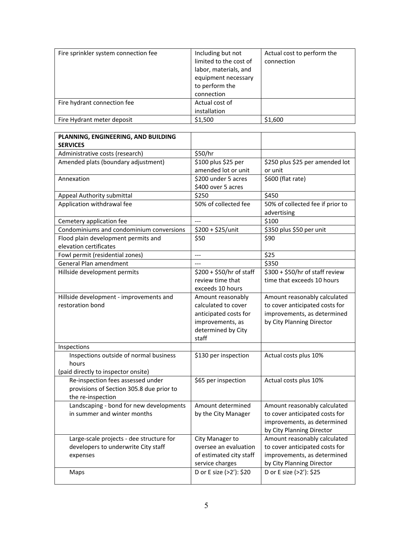| Fire sprinkler system connection fee | Including but not<br>limited to the cost of<br>labor, materials, and<br>equipment necessary<br>to perform the<br>connection | Actual cost to perform the<br>connection |
|--------------------------------------|-----------------------------------------------------------------------------------------------------------------------------|------------------------------------------|
| Fire hydrant connection fee          | Actual cost of<br>installation                                                                                              |                                          |
| Fire Hydrant meter deposit           | \$1,500                                                                                                                     | \$1,600                                  |

| PLANNING, ENGINEERING, AND BUILDING      |                          |                                            |
|------------------------------------------|--------------------------|--------------------------------------------|
| <b>SERVICES</b>                          |                          |                                            |
| Administrative costs (research)          | \$50/hr                  |                                            |
| Amended plats (boundary adjustment)      | \$100 plus \$25 per      | \$250 plus \$25 per amended lot            |
|                                          | amended lot or unit      | or unit                                    |
| Annexation                               | \$200 under 5 acres      | \$600 (flat rate)                          |
|                                          | \$400 over 5 acres       |                                            |
| Appeal Authority submittal               | \$250                    | \$450                                      |
| Application withdrawal fee               | 50% of collected fee     | 50% of collected fee if prior to           |
|                                          |                          | advertising                                |
| Cemetery application fee                 | $\overline{a}$           | \$100                                      |
| Condominiums and condominium conversions | \$200 + \$25/unit        | \$350 plus \$50 per unit                   |
| Flood plain development permits and      | \$50                     | \$90                                       |
| elevation certificates                   |                          |                                            |
| Fowl permit (residential zones)          | $\overline{a}$           | \$25                                       |
| General Plan amendment                   | $\sim$                   | \$350                                      |
| Hillside development permits             | \$200 + \$50/hr of staff | $\overline{$}300 + $50/hr$ of staff review |
|                                          | review time that         | time that exceeds 10 hours                 |
|                                          | exceeds 10 hours         |                                            |
| Hillside development - improvements and  | Amount reasonably        | Amount reasonably calculated               |
| restoration bond                         | calculated to cover      | to cover anticipated costs for             |
|                                          | anticipated costs for    | improvements, as determined                |
|                                          | improvements, as         | by City Planning Director                  |
|                                          | determined by City       |                                            |
|                                          | staff                    |                                            |
| Inspections                              |                          |                                            |
| Inspections outside of normal business   | \$130 per inspection     | Actual costs plus 10%                      |
| hours                                    |                          |                                            |
| (paid directly to inspector onsite)      |                          |                                            |
| Re-inspection fees assessed under        | \$65 per inspection      | Actual costs plus 10%                      |
| provisions of Section 305.8 due prior to |                          |                                            |
| the re-inspection                        |                          |                                            |
| Landscaping - bond for new developments  | Amount determined        | Amount reasonably calculated               |
| in summer and winter months              | by the City Manager      | to cover anticipated costs for             |
|                                          |                          | improvements, as determined                |
|                                          |                          | by City Planning Director                  |
| Large-scale projects - dee structure for | City Manager to          | Amount reasonably calculated               |
| developers to underwrite City staff      | oversee an evaluation    | to cover anticipated costs for             |
| expenses                                 | of estimated city staff  | improvements, as determined                |
|                                          | service charges          | by City Planning Director                  |
| Maps                                     | D or E size (>2'): \$20  | D or E size (>2'): \$25                    |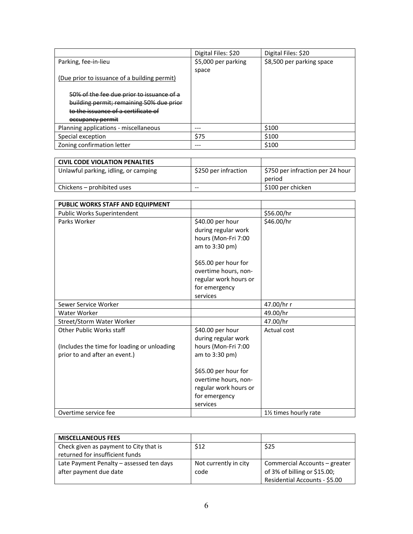|                                              | Digital Files: \$20 | Digital Files: \$20       |
|----------------------------------------------|---------------------|---------------------------|
| Parking, fee-in-lieu                         | \$5,000 per parking | \$8,500 per parking space |
|                                              | space               |                           |
| (Due prior to issuance of a building permit) |                     |                           |
|                                              |                     |                           |
| 50% of the fee due prior to issuance of a    |                     |                           |
| building permit; remaining 50% due prior     |                     |                           |
| to the issuance of a certificate of          |                     |                           |
| occupancy permit                             |                     |                           |
| Planning applications - miscellaneous        |                     | \$100                     |
| Special exception                            | \$75                | \$100                     |
| Zoning confirmation letter                   |                     | \$100                     |

| <b>CIVIL CODE VIOLATION PENALTIES</b> |                      |                                            |
|---------------------------------------|----------------------|--------------------------------------------|
| Unlawful parking, idling, or camping  | \$250 per infraction | \$750 per infraction per 24 hour<br>period |
| Chickens - prohibited uses            | --                   | \$100 per chicken                          |

| PUBLIC WORKS STAFF AND EQUIPMENT                                        |                                                                |                      |
|-------------------------------------------------------------------------|----------------------------------------------------------------|----------------------|
| Public Works Superintendent                                             |                                                                | \$56.00/hr           |
| Parks Worker                                                            | \$40.00 per hour<br>during regular work<br>hours (Mon-Fri 7:00 | \$46.00/hr           |
|                                                                         | am to 3:30 pm)<br>\$65.00 per hour for                         |                      |
|                                                                         | overtime hours, non-<br>regular work hours or                  |                      |
|                                                                         | for emergency<br>services                                      |                      |
| Sewer Service Worker                                                    |                                                                | 47.00/hr r           |
| Water Worker                                                            |                                                                | 49.00/hr             |
| Street/Storm Water Worker                                               |                                                                | 47.00/hr             |
| Other Public Works staff<br>(Includes the time for loading or unloading | \$40.00 per hour<br>during regular work<br>hours (Mon-Fri 7:00 | Actual cost          |
| prior to and after an event.)                                           | am to $3:30$ pm)                                               |                      |
|                                                                         | \$65.00 per hour for<br>overtime hours, non-                   |                      |
|                                                                         | regular work hours or                                          |                      |
|                                                                         | for emergency                                                  |                      |
|                                                                         | services                                                       |                      |
| Overtime service fee                                                    |                                                                | 1½ times hourly rate |

| <b>MISCELLANEOUS FEES</b>                                                 |                               |                                                                                                |
|---------------------------------------------------------------------------|-------------------------------|------------------------------------------------------------------------------------------------|
| Check given as payment to City that is<br>returned for insufficient funds | \$12                          | \$25                                                                                           |
| Late Payment Penalty – assessed ten days<br>after payment due date        | Not currently in city<br>code | Commercial Accounts – greater<br>of 3% of billing or \$15.00;<br>Residential Accounts - \$5.00 |